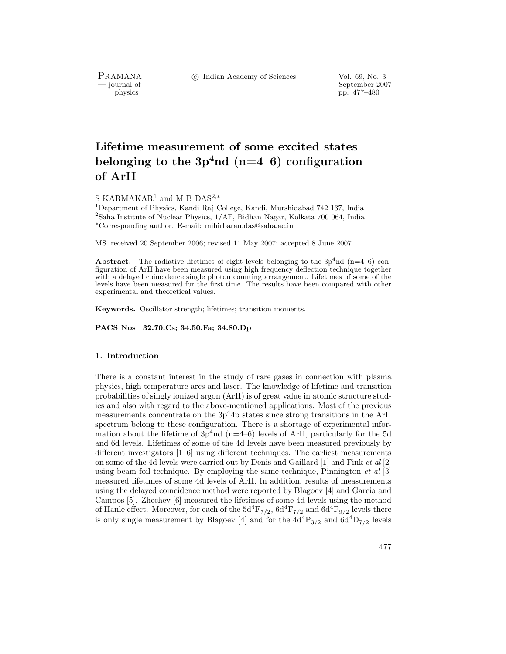PRAMANA<br>
— journal of

c Indian Academy of Sciences Vol. 69, No. 3

urnal of September 2007<br>
physics produced by the September 2007<br>
pp. 477–480 pp. 477–480

# **Lifetime measurement of some excited states** belonging to the  $3p^4$ nd (n=4–6) configuration **of ArII**

S KARMAKAR<sup>1</sup> and M B DAS2*,*<sup>∗</sup>

<sup>1</sup>Department of Physics, Kandi Raj College, Kandi, Murshidabad 742 137, India  $2$ Saha Institute of Nuclear Physics,  $1/AF$ , Bidhan Nagar, Kolkata 700 064, India <sup>∗</sup>Corresponding author. E-mail: mihirbaran.das@saha.ac.in

MS received 20 September 2006; revised 11 May 2007; accepted 8 June 2007

**Abstract.** The radiative lifetimes of eight levels belonging to the  $3p^4$ nd (n=4–6) configuration of ArII have been measured using high frequency deflection technique together with a delayed coincidence single photon counting arrangement. Lifetimes of some of the levels have been measured for the first time. The results have been compared with other experimental and theoretical values.

**Keywords.** Oscillator strength; lifetimes; transition moments.

**PACS Nos 32.70.Cs; 34.50.Fa; 34.80.Dp**

## **1. Introduction**

There is a constant interest in the study of rare gases in connection with plasma physics, high temperature arcs and laser. The knowledge of lifetime and transition probabilities of singly ionized argon (ArII) is of great value in atomic structure studies and also with regard to the above-mentioned applications. Most of the previous measurements concentrate on the  $3p<sup>4</sup>4p$  states since strong transitions in the ArII spectrum belong to these configuration. There is a shortage of experimental information about the lifetime of  $3p^4$ nd (n=4–6) levels of ArII, particularly for the 5d and 6d levels. Lifetimes of some of the 4d levels have been measured previously by different investigators [1–6] using different techniques. The earliest measurements on some of the 4d levels were carried out by Denis and Gaillard [1] and Fink *et al* [2] using beam foil technique. By employing the same technique, Pinnington *et al* [3] measured lifetimes of some 4d levels of ArII. In addition, results of measurements using the delayed coincidence method were reported by Blagoev [4] and Garcia and Campos [5]. Zhechev [6] measured the lifetimes of some 4d levels using the method of Hanle effect. Moreover, for each of the  $5d^4F_{7/2}$ ,  $6d^4F_{7/2}$  and  $6d^4F_{9/2}$  levels there is only single measurement by Blagoev [4] and for the  $4d^{4}P_{3/2}$  and  $6d^{4}D_{7/2}$  levels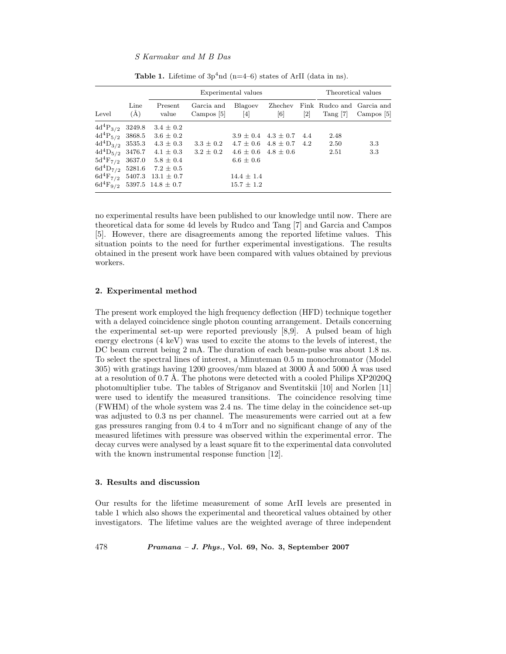## *S Karmakar and M B Das*

|                                                                               |                  | Experimental values                                                                                             |                                                                   |                                                                                                            |                              |                              | Theoretical values                             |            |
|-------------------------------------------------------------------------------|------------------|-----------------------------------------------------------------------------------------------------------------|-------------------------------------------------------------------|------------------------------------------------------------------------------------------------------------|------------------------------|------------------------------|------------------------------------------------|------------|
| Level                                                                         | Line<br>(A)      | Present<br>value                                                                                                | Garcia and<br>Campos $[5]$                                        | Blagoev<br>[4]                                                                                             | Zhechev<br>$\lceil 6 \rceil$ | $\left\lceil 2 \right\rceil$ | Fink Rudco and Garcia and<br>$\text{Tang}$ [7] | Campos [5] |
| $4d^{4}P_{3/2}$<br>$4d^{4}P_{5/2}$<br>$4d^4D_{3/2}$ 3535.3<br>$5d^{4}F_{7/2}$ | 3249.8<br>3868.5 | $3.4 \pm 0.2$<br>$3.6 \pm 0.2$<br>$4.3 \pm 0.3$<br>3637.0 $5.8 \pm 0.4$<br>$6d^{4}D_{7/2}$ 5281.6 7.2 $\pm$ 0.5 | $3.3 \pm 0.2$<br>$4d^4D_{5/2}$ 3476.7 $4.1 \pm 0.3$ 3.2 $\pm 0.2$ | $3.9 \pm 0.4$ 4.3 $\pm$ 0.7<br>$4.7 \pm 0.6$ $4.8 \pm 0.7$<br>$4.6 \pm 0.6$ $4.8 \pm 0.6$<br>$6.6 \pm 0.6$ |                              | 4.4<br>4.2                   | 2.48<br>2.50<br>2.51                           | 3.3<br>3.3 |
|                                                                               |                  | $6d^{4}F_{7/2}$ 5407.3 13.1 $\pm$ 0.7<br>$6d^{4}F_{9/2}$ 5397.5 14.8 ± 0.7                                      |                                                                   | $14.4 \pm 1.4$<br>$15.7 \pm 1.2$                                                                           |                              |                              |                                                |            |

**Table 1.** Lifetime of  $3p^4$ nd (n=4–6) states of ArII (data in ns).

no experimental results have been published to our knowledge until now. There are theoretical data for some 4d levels by Rudco and Tang [7] and Garcia and Campos [5]. However, there are disagreements among the reported lifetime values. This situation points to the need for further experimental investigations. The results obtained in the present work have been compared with values obtained by previous workers.

#### **2. Experimental method**

The present work employed the high frequency deflection (HFD) technique together with a delayed coincidence single photon counting arrangement. Details concerning the experimental set-up were reported previously [8,9]. A pulsed beam of high energy electrons (4 keV) was used to excite the atoms to the levels of interest, the DC beam current being 2 mA. The duration of each beam-pulse was about 1.8 ns. To select the spectral lines of interest, a Minuteman 0.5 m monochromator (Model 305) with gratings having 1200 grooves/mm blazed at 3000 Å and 5000 Å was used at a resolution of 0.7 Å. The photons were detected with a cooled Philips  $XP2020Q$ photomultiplier tube. The tables of Striganov and Sventitskii [10] and Norlen [11] were used to identify the measured transitions. The coincidence resolving time (FWHM) of the whole system was 2.4 ns. The time delay in the coincidence set-up was adjusted to 0.3 ns per channel. The measurements were carried out at a few gas pressures ranging from 0.4 to 4 mTorr and no significant change of any of the measured lifetimes with pressure was observed within the experimental error. The decay curves were analysed by a least square fit to the experimental data convoluted with the known instrumental response function [12].

# **3. Results and discussion**

Our results for the lifetime measurement of some ArII levels are presented in table 1 which also shows the experimental and theoretical values obtained by other investigators. The lifetime values are the weighted average of three independent

478 *Pramana – J. Phys.,* **Vol. 69, No. 3, September 2007**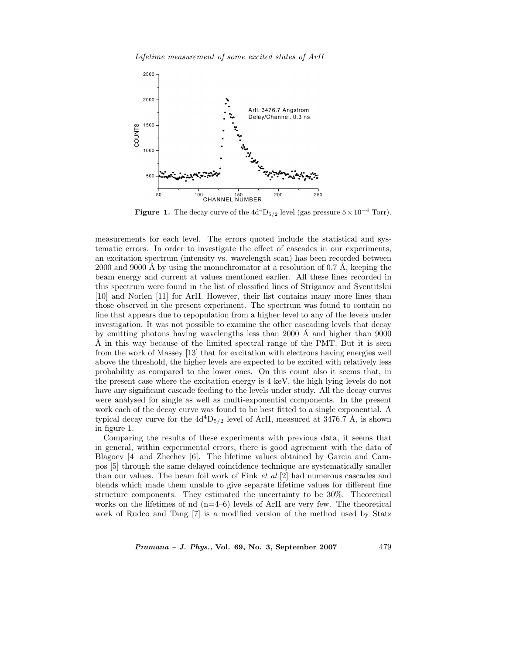*Lifetime measurement of some excited states of ArII*



**Figure 1.** The decay curve of the  $4d<sup>4</sup>D<sub>5/2</sub>$  level (gas pressure  $5 \times 10^{-4}$  Torr).

measurements for each level. The errors quoted include the statistical and systematic errors. In order to investigate the effect of cascades in our experiments, an excitation spectrum (intensity vs. wavelength scan) has been recorded between 2000 and 9000 Å by using the monochromator at a resolution of 0.7 Å, keeping the beam energy and current at values mentioned earlier. All these lines recorded in this spectrum were found in the list of classified lines of Striganov and Sventitskii [10] and Norlen [11] for ArII. However, their list contains many more lines than those observed in the present experiment. The spectrum was found to contain no line that appears due to repopulation from a higher level to any of the levels under investigation. It was not possible to examine the other cascading levels that decay by emitting photons having wavelengths less than 2000  $\AA$  and higher than 9000  $\AA$  in this way because of the limited spectral range of the PMT. But it is seen from the work of Massey [13] that for excitation with electrons having energies well above the threshold, the higher levels are expected to be excited with relatively less probability as compared to the lower ones. On this count also it seems that, in the present case where the excitation energy is 4 keV, the high lying levels do not have any significant cascade feeding to the levels under study. All the decay curves were analysed for single as well as multi-exponential components. In the present work each of the decay curve was found to be best fitted to a single exponential. A typical decay curve for the  $4d<sup>4</sup>D<sub>5/2</sub>$  level of ArII, measured at 3476.7 Å, is shown in figure 1.

Comparing the results of these experiments with previous data, it seems that in general, within experimental errors, there is good agreement with the data of Blagoev [4] and Zhechev [6]. The lifetime values obtained by Garcia and Campos [5] through the same delayed coincidence technique are systematically smaller than our values. The beam foil work of Fink *et al* [2] had numerous cascades and blends which made them unable to give separate lifetime values for different fine structure components. They estimated the uncertainty to be 30%. Theoretical works on the lifetimes of nd  $(n=4-6)$  levels of ArII are very few. The theoretical work of Rudco and Tang [7] is a modified version of the method used by Statz

*Pramana – J. Phys.,* **Vol. 69, No. 3, September 2007** 479